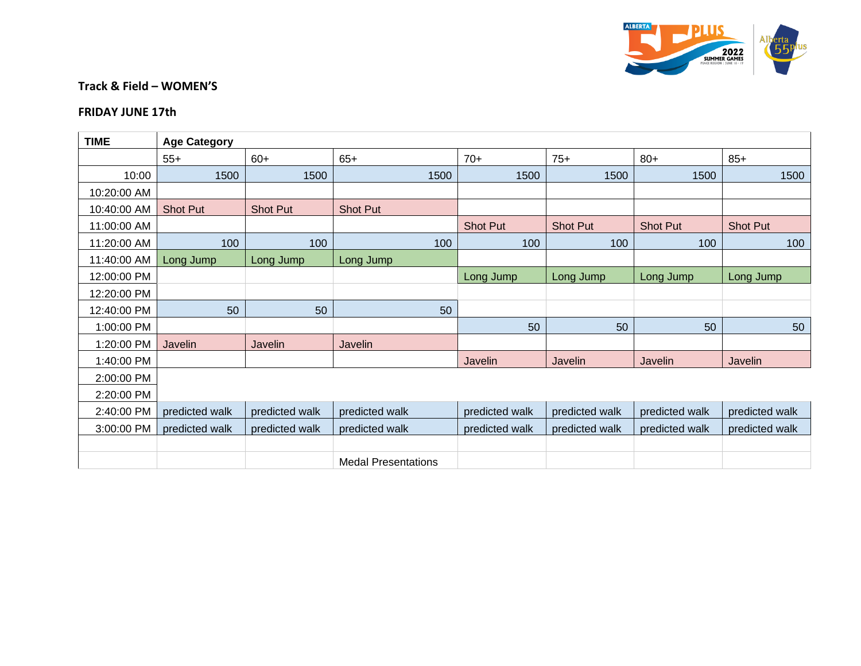

## **Track & Field – WOMEN'S**

## **FRIDAY JUNE 17th**

| <b>TIME</b> | <b>Age Category</b> |                 |                            |                 |                |                 |                 |  |  |  |  |
|-------------|---------------------|-----------------|----------------------------|-----------------|----------------|-----------------|-----------------|--|--|--|--|
|             | $55+$               | $60+$           | $65+$                      | $70+$           | $75+$          | $80+$           | $85+$           |  |  |  |  |
| 10:00       | 1500                | 1500            | 1500                       | 1500            | 1500           | 1500            | 1500            |  |  |  |  |
| 10:20:00 AM |                     |                 |                            |                 |                |                 |                 |  |  |  |  |
| 10:40:00 AM | <b>Shot Put</b>     | <b>Shot Put</b> | <b>Shot Put</b>            |                 |                |                 |                 |  |  |  |  |
| 11:00:00 AM |                     |                 |                            | <b>Shot Put</b> | Shot Put       | <b>Shot Put</b> | <b>Shot Put</b> |  |  |  |  |
| 11:20:00 AM | 100                 | 100             | 100                        | 100             | 100            | 100             | 100             |  |  |  |  |
| 11:40:00 AM | Long Jump           | Long Jump       | Long Jump                  |                 |                |                 |                 |  |  |  |  |
| 12:00:00 PM |                     |                 |                            | Long Jump       | Long Jump      | Long Jump       | Long Jump       |  |  |  |  |
| 12:20:00 PM |                     |                 |                            |                 |                |                 |                 |  |  |  |  |
| 12:40:00 PM | 50                  | 50              | 50                         |                 |                |                 |                 |  |  |  |  |
| 1:00:00 PM  |                     |                 |                            | 50              | 50             | 50              | 50              |  |  |  |  |
| 1:20:00 PM  | Javelin             | Javelin         | Javelin                    |                 |                |                 |                 |  |  |  |  |
| 1:40:00 PM  |                     |                 |                            | Javelin         | Javelin        | Javelin         | Javelin         |  |  |  |  |
| 2:00:00 PM  |                     |                 |                            |                 |                |                 |                 |  |  |  |  |
| 2:20:00 PM  |                     |                 |                            |                 |                |                 |                 |  |  |  |  |
| 2:40:00 PM  | predicted walk      | predicted walk  | predicted walk             | predicted walk  | predicted walk | predicted walk  | predicted walk  |  |  |  |  |
| 3:00:00 PM  | predicted walk      | predicted walk  | predicted walk             | predicted walk  | predicted walk | predicted walk  | predicted walk  |  |  |  |  |
|             |                     |                 |                            |                 |                |                 |                 |  |  |  |  |
|             |                     |                 | <b>Medal Presentations</b> |                 |                |                 |                 |  |  |  |  |